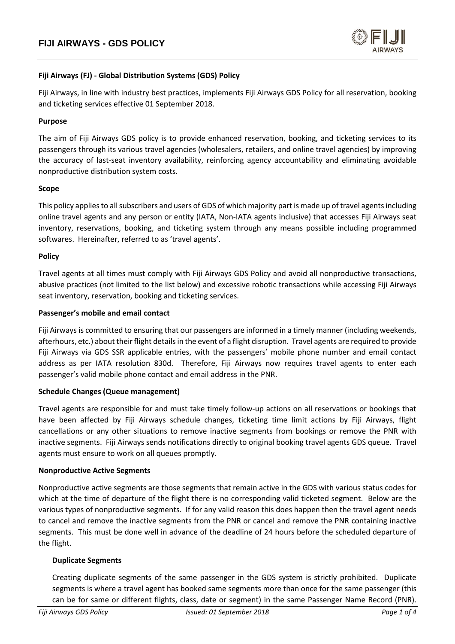

# **Fiji Airways (FJ) - Global Distribution Systems (GDS) Policy**

Fiji Airways, in line with industry best practices, implements Fiji Airways GDS Policy for all reservation, booking and ticketing services effective 01 September 2018.

## **Purpose**

The aim of Fiji Airways GDS policy is to provide enhanced reservation, booking, and ticketing services to its passengers through its various travel agencies (wholesalers, retailers, and online travel agencies) by improving the accuracy of last-seat inventory availability, reinforcing agency accountability and eliminating avoidable nonproductive distribution system costs.

#### **Scope**

This policy applies to all subscribers and users of GDS of which majority part is made up of travel agents including online travel agents and any person or entity (IATA, Non-IATA agents inclusive) that accesses Fiji Airways seat inventory, reservations, booking, and ticketing system through any means possible including programmed softwares. Hereinafter, referred to as 'travel agents'.

#### **Policy**

Travel agents at all times must comply with Fiji Airways GDS Policy and avoid all nonproductive transactions, abusive practices (not limited to the list below) and excessive robotic transactions while accessing Fiji Airways seat inventory, reservation, booking and ticketing services.

#### **Passenger's mobile and email contact**

Fiji Airways is committed to ensuring that our passengers are informed in a timely manner (including weekends, afterhours, etc.) about their flight details in the event of a flight disruption. Travel agents are required to provide Fiji Airways via GDS SSR applicable entries, with the passengers' mobile phone number and email contact address as per IATA resolution 830d. Therefore, Fiji Airways now requires travel agents to enter each passenger's valid mobile phone contact and email address in the PNR.

## **Schedule Changes (Queue management)**

Travel agents are responsible for and must take timely follow-up actions on all reservations or bookings that have been affected by Fiji Airways schedule changes, ticketing time limit actions by Fiji Airways, flight cancellations or any other situations to remove inactive segments from bookings or remove the PNR with inactive segments. Fiji Airways sends notifications directly to original booking travel agents GDS queue. Travel agents must ensure to work on all queues promptly.

#### **Nonproductive Active Segments**

Nonproductive active segments are those segments that remain active in the GDS with various status codes for which at the time of departure of the flight there is no corresponding valid ticketed segment. Below are the various types of nonproductive segments. If for any valid reason this does happen then the travel agent needs to cancel and remove the inactive segments from the PNR or cancel and remove the PNR containing inactive segments. This must be done well in advance of the deadline of 24 hours before the scheduled departure of the flight.

## **Duplicate Segments**

Creating duplicate segments of the same passenger in the GDS system is strictly prohibited. Duplicate segments is where a travel agent has booked same segments more than once for the same passenger (this can be for same or different flights, class, date or segment) in the same Passenger Name Record (PNR).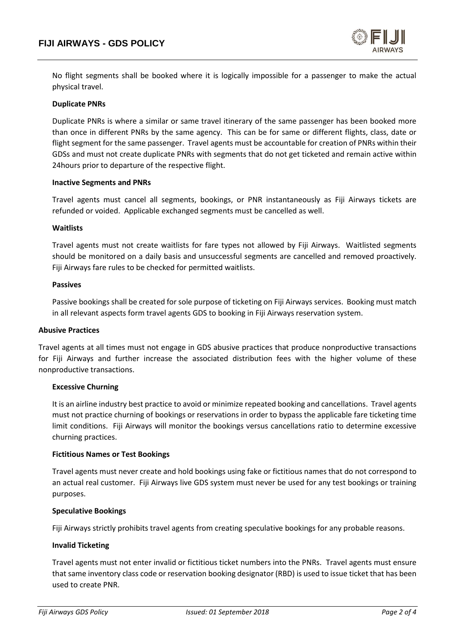

No flight segments shall be booked where it is logically impossible for a passenger to make the actual physical travel.

#### **Duplicate PNRs**

Duplicate PNRs is where a similar or same travel itinerary of the same passenger has been booked more than once in different PNRs by the same agency. This can be for same or different flights, class, date or flight segment for the same passenger. Travel agents must be accountable for creation of PNRs within their GDSs and must not create duplicate PNRs with segments that do not get ticketed and remain active within 24hours prior to departure of the respective flight.

#### **Inactive Segments and PNRs**

Travel agents must cancel all segments, bookings, or PNR instantaneously as Fiji Airways tickets are refunded or voided. Applicable exchanged segments must be cancelled as well.

#### **Waitlists**

Travel agents must not create waitlists for fare types not allowed by Fiji Airways. Waitlisted segments should be monitored on a daily basis and unsuccessful segments are cancelled and removed proactively. Fiji Airways fare rules to be checked for permitted waitlists.

#### **Passives**

Passive bookings shall be created for sole purpose of ticketing on Fiji Airways services. Booking must match in all relevant aspects form travel agents GDS to booking in Fiji Airways reservation system.

#### **Abusive Practices**

Travel agents at all times must not engage in GDS abusive practices that produce nonproductive transactions for Fiji Airways and further increase the associated distribution fees with the higher volume of these nonproductive transactions.

## **Excessive Churning**

It is an airline industry best practice to avoid or minimize repeated booking and cancellations. Travel agents must not practice churning of bookings or reservations in order to bypass the applicable fare ticketing time limit conditions. Fiji Airways will monitor the bookings versus cancellations ratio to determine excessive churning practices.

#### **Fictitious Names or Test Bookings**

Travel agents must never create and hold bookings using fake or fictitious names that do not correspond to an actual real customer. Fiji Airways live GDS system must never be used for any test bookings or training purposes.

## **Speculative Bookings**

Fiji Airways strictly prohibits travel agents from creating speculative bookings for any probable reasons.

#### **Invalid Ticketing**

Travel agents must not enter invalid or fictitious ticket numbers into the PNRs. Travel agents must ensure that same inventory class code or reservation booking designator (RBD) is used to issue ticket that has been used to create PNR.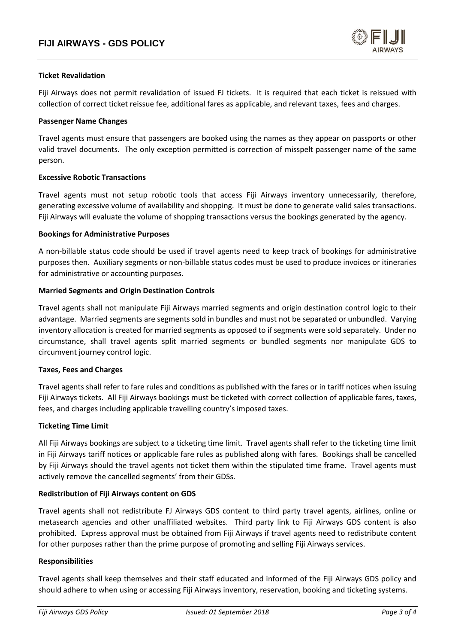

## **Ticket Revalidation**

Fiji Airways does not permit revalidation of issued FJ tickets. It is required that each ticket is reissued with collection of correct ticket reissue fee, additional fares as applicable, and relevant taxes, fees and charges.

### **Passenger Name Changes**

Travel agents must ensure that passengers are booked using the names as they appear on passports or other valid travel documents. The only exception permitted is correction of misspelt passenger name of the same person.

## **Excessive Robotic Transactions**

Travel agents must not setup robotic tools that access Fiji Airways inventory unnecessarily, therefore, generating excessive volume of availability and shopping. It must be done to generate valid sales transactions. Fiji Airways will evaluate the volume of shopping transactions versus the bookings generated by the agency.

#### **Bookings for Administrative Purposes**

A non-billable status code should be used if travel agents need to keep track of bookings for administrative purposes then. Auxiliary segments or non-billable status codes must be used to produce invoices or itineraries for administrative or accounting purposes.

#### **Married Segments and Origin Destination Controls**

Travel agents shall not manipulate Fiji Airways married segments and origin destination control logic to their advantage. Married segments are segments sold in bundles and must not be separated or unbundled. Varying inventory allocation is created for married segments as opposed to if segments were sold separately. Under no circumstance, shall travel agents split married segments or bundled segments nor manipulate GDS to circumvent journey control logic.

## **Taxes, Fees and Charges**

Travel agents shall refer to fare rules and conditions as published with the fares or in tariff notices when issuing Fiji Airways tickets. All Fiji Airways bookings must be ticketed with correct collection of applicable fares, taxes, fees, and charges including applicable travelling country's imposed taxes.

## **Ticketing Time Limit**

All Fiji Airways bookings are subject to a ticketing time limit. Travel agents shall refer to the ticketing time limit in Fiji Airways tariff notices or applicable fare rules as published along with fares. Bookings shall be cancelled by Fiji Airways should the travel agents not ticket them within the stipulated time frame. Travel agents must actively remove the cancelled segments' from their GDSs.

## **Redistribution of Fiji Airways content on GDS**

Travel agents shall not redistribute FJ Airways GDS content to third party travel agents, airlines, online or metasearch agencies and other unaffiliated websites. Third party link to Fiji Airways GDS content is also prohibited. Express approval must be obtained from Fiji Airways if travel agents need to redistribute content for other purposes rather than the prime purpose of promoting and selling Fiji Airways services.

## **Responsibilities**

Travel agents shall keep themselves and their staff educated and informed of the Fiji Airways GDS policy and should adhere to when using or accessing Fiji Airways inventory, reservation, booking and ticketing systems.